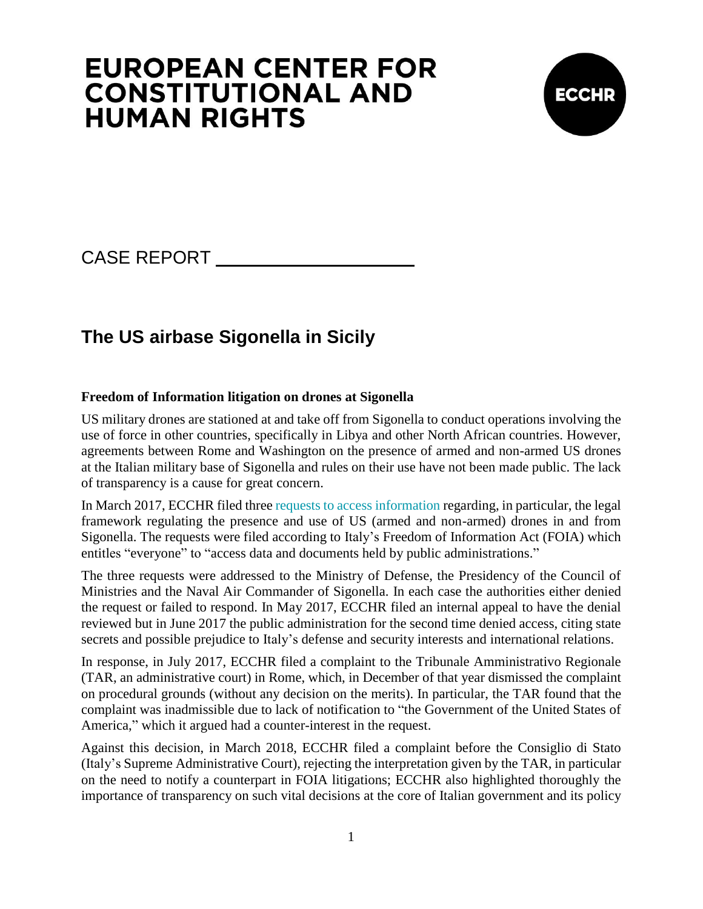# **EUROPEAN CENTER FOR CONSTITUTIONAL AND HUMAN RIGHTS**



# CASE REPORT

# **The US airbase Sigonella in Sicily**

### **Freedom of Information litigation on drones at Sigonella**

US military drones are stationed at and take off from Sigonella to conduct operations involving the use of force in other countries, specifically in Libya and other North African countries. However, agreements between Rome and Washington on the presence of armed and non-armed US drones at the Italian military base of Sigonella and rules on their use have not been made public. The lack of transparency is a cause for great concern.

In March 2017, ECCHR filed three [requests to access information](https://www.ecchr.eu/en/case/sicily-airbase-freedom-of-information-litigation-on-italys-involvement-in-us-drone-program/) regarding, in particular, the legal framework regulating the presence and use of US (armed and non-armed) drones in and from Sigonella. The requests were filed according to Italy's Freedom of Information Act (FOIA) which entitles "everyone" to "access data and documents held by public administrations."

The three requests were addressed to the Ministry of Defense, the Presidency of the Council of Ministries and the Naval Air Commander of Sigonella. In each case the authorities either denied the request or failed to respond. In May 2017, ECCHR filed an internal appeal to have the denial reviewed but in June 2017 the public administration for the second time denied access, citing state secrets and possible prejudice to Italy's defense and security interests and international relations.

In response, in July 2017, ECCHR filed a complaint to the Tribunale Amministrativo Regionale (TAR, an administrative court) in Rome, which, in December of that year dismissed the complaint on procedural grounds (without any decision on the merits). In particular, the TAR found that the complaint was inadmissible due to lack of notification to "the Government of the United States of America," which it argued had a counter-interest in the request.

Against this decision, in March 2018, ECCHR filed a complaint before the Consiglio di Stato (Italy's Supreme Administrative Court), rejecting the interpretation given by the TAR, in particular on the need to notify a counterpart in FOIA litigations; ECCHR also highlighted thoroughly the importance of transparency on such vital decisions at the core of Italian government and its policy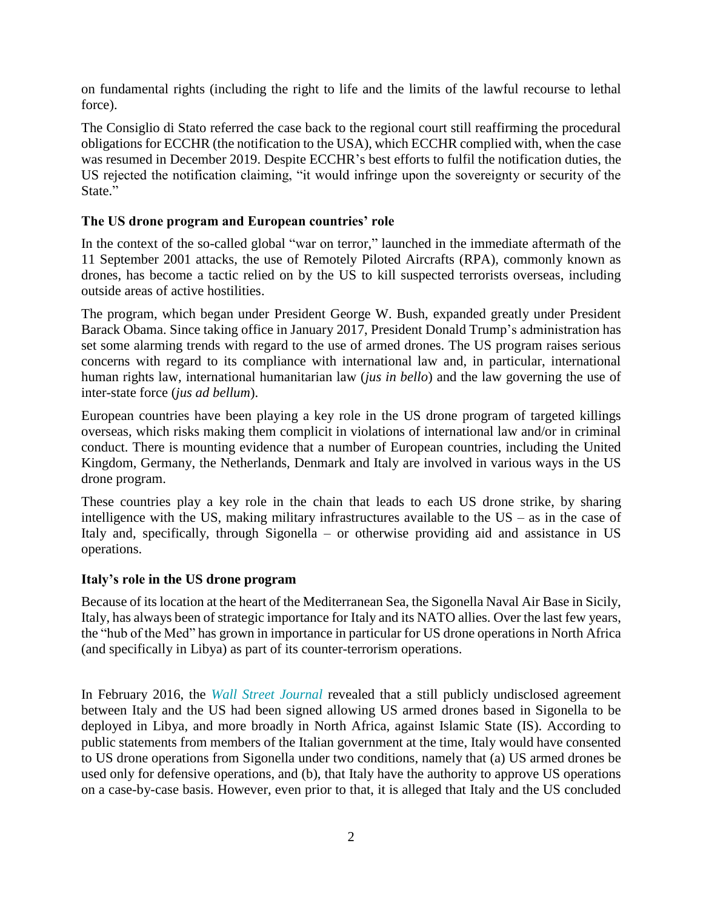on fundamental rights (including the right to life and the limits of the lawful recourse to lethal force).

The Consiglio di Stato referred the case back to the regional court still reaffirming the procedural obligations for ECCHR (the notification to the USA), which ECCHR complied with, when the case was resumed in December 2019. Despite ECCHR's best efforts to fulfil the notification duties, the US rejected the notification claiming, "it would infringe upon the sovereignty or security of the State."

### **The US drone program and European countries' role**

In the context of the so-called global "war on terror," launched in the immediate aftermath of the 11 September 2001 attacks, the use of Remotely Piloted Aircrafts (RPA), commonly known as drones, has become a tactic relied on by the US to kill suspected terrorists overseas, including outside areas of active hostilities.

The program, which began under President George W. Bush, expanded greatly under President Barack Obama. Since taking office in January 2017, President Donald Trump's administration has set some alarming trends with regard to the use of armed drones. The US program raises serious concerns with regard to its compliance with international law and, in particular, international human rights law, international humanitarian law (*jus in bello*) and the law governing the use of inter-state force (*jus ad bellum*).

European countries have been playing a key role in the US drone program of targeted killings overseas, which risks making them complicit in violations of international law and/or in criminal conduct. There is mounting evidence that a number of European countries, including the United Kingdom, Germany, the Netherlands, Denmark and Italy are involved in various ways in the US drone program.

These countries play a key role in the chain that leads to each US drone strike, by sharing intelligence with the US, making military infrastructures available to the US – as in the case of Italy and, specifically, through Sigonella – or otherwise providing aid and assistance in US operations.

#### **Italy's role in the US drone program**

Because of its location at the heart of the Mediterranean Sea, the Sigonella Naval Air Base in Sicily, Italy, has always been of strategic importance for Italy and its NATO allies. Over the last few years, the "hub of the Med" has grown in importance in particular for US drone operations in North Africa (and specifically in Libya) as part of its counter-terrorism operations.

In February 2016, the *[Wall Street Journal](https://www.wsj.com/articles/italy-quietly-agrees-to-armed-u-s-drone-missions-over-libya-1456163730)* revealed that a still publicly undisclosed agreement between Italy and the US had been signed allowing US armed drones based in Sigonella to be deployed in Libya, and more broadly in North Africa, against Islamic State (IS). According to public statements from members of the Italian government at the time, Italy would have consented to US drone operations from Sigonella under two conditions, namely that (a) US armed drones be used only for defensive operations, and (b), that Italy have the authority to approve US operations on a case-by-case basis. However, even prior to that, it is alleged that Italy and the US concluded